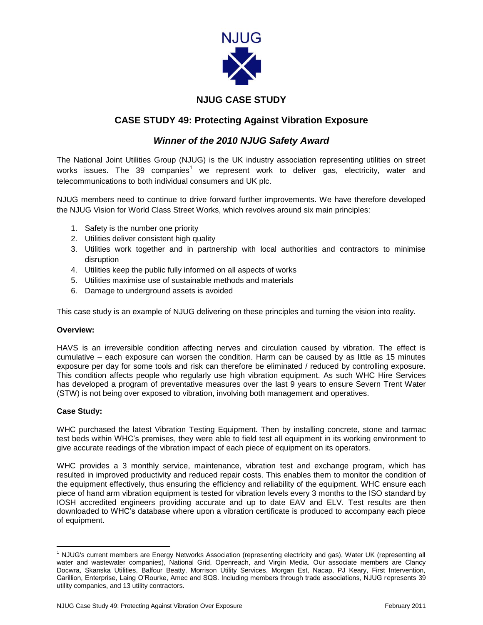

## **NJUG CASE STUDY**

# **CASE STUDY 49: Protecting Against Vibration Exposure**

## *Winner of the 2010 NJUG Safety Award*

The National Joint Utilities Group (NJUG) is the UK industry association representing utilities on street works issues. The 39 companies<sup>1</sup> we represent work to deliver gas, electricity, water and telecommunications to both individual consumers and UK plc.

NJUG members need to continue to drive forward further improvements. We have therefore developed the NJUG Vision for World Class Street Works, which revolves around six main principles:

- 1. Safety is the number one priority
- 2. Utilities deliver consistent high quality
- 3. Utilities work together and in partnership with local authorities and contractors to minimise disruption
- 4. Utilities keep the public fully informed on all aspects of works
- 5. Utilities maximise use of sustainable methods and materials
- 6. Damage to underground assets is avoided

This case study is an example of NJUG delivering on these principles and turning the vision into reality.

### **Overview:**

HAVS is an irreversible condition affecting nerves and circulation caused by vibration. The effect is cumulative – each exposure can worsen the condition. Harm can be caused by as little as 15 minutes exposure per day for some tools and risk can therefore be eliminated / reduced by controlling exposure. This condition affects people who regularly use high vibration equipment. As such WHC Hire Services has developed a program of preventative measures over the last 9 years to ensure Severn Trent Water (STW) is not being over exposed to vibration, involving both management and operatives.

### **Case Study:**

 $\overline{a}$ 

WHC purchased the latest Vibration Testing Equipment. Then by installing concrete, stone and tarmac test beds within WHC's premises, they were able to field test all equipment in its working environment to give accurate readings of the vibration impact of each piece of equipment on its operators.

WHC provides a 3 monthly service, maintenance, vibration test and exchange program, which has resulted in improved productivity and reduced repair costs. This enables them to monitor the condition of the equipment effectively, thus ensuring the efficiency and reliability of the equipment. WHC ensure each piece of hand arm vibration equipment is tested for vibration levels every 3 months to the ISO standard by IOSH accredited engineers providing accurate and up to date EAV and ELV. Test results are then downloaded to WHC's database where upon a vibration certificate is produced to accompany each piece of equipment.

 $1$  NJUG's current members are Energy Networks Association (representing electricity and gas), Water UK (representing all water and wastewater companies), National Grid, Openreach, and Virgin Media. Our associate members are Clancy Docwra, Skanska Utilities, Balfour Beatty, Morrison Utility Services, Morgan Est, Nacap, PJ Keary, First Intervention, Carillion, Enterprise, Laing O'Rourke, Amec and SQS. Including members through trade associations, NJUG represents 39 utility companies, and 13 utility contractors.